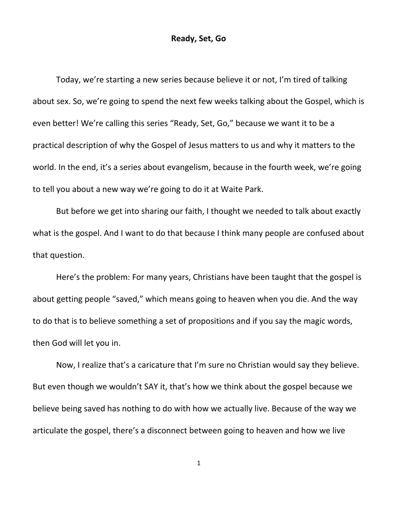Today, we're starting a new series because believe it or not, I'm tired of talking about sex. So, we're going to spend the next few weeks talking about the Gospel, which is even better! We're calling this series "Ready, Set, Go," because we want it to be a practical description of why the Gospel of Jesus matters to us and why it matters to the world. In the end, it's a series about evangelism, because in the fourth week, we're going to tell you about a new way we're going to do it at Waite Park.

But before we get into sharing our faith, I thought we needed to talk about exactly what is the gospel. And I want to do that because I think many people are confused about that question.

Here's the problem: For many years, Christians have been taught that the gospel is about getting people "saved," which means going to heaven when you die. And the way to do that is to believe something a set of propositions and if you say the magic words, then God will let you in.

Now, I realize that's a caricature that I'm sure no Christian would say they believe. But even though we wouldn't SAY it, that's how we think about the gospel because we believe being saved has nothing to do with how we actually live. Because of the way we articulate the gospel, there's a disconnect between going to heaven and how we live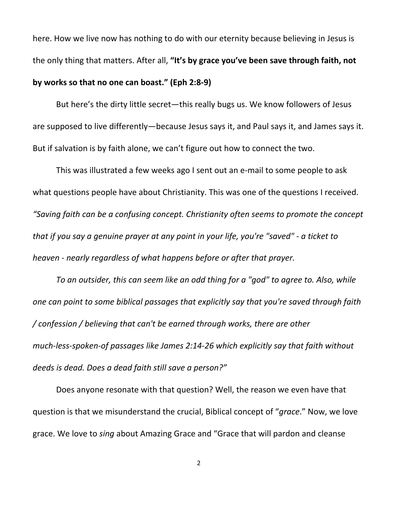here. How we live now has nothing to do with our eternity because believing in Jesus is the only thing that matters. After all, **"It's by grace you've been save through faith, not**

## **by works so that no one can boast." (Eph 2:8-9)**

But here's the dirty little secret—this really bugs us. We know followers of Jesus are supposed to live differently—because Jesus says it, and Paul says it, and James says it. But if salvation is by faith alone, we can't figure out how to connect the two.

This was illustrated a few weeks ago I sent out an e-mail to some people to ask what questions people have about Christianity. This was one of the questions I received. *"Saving faith can be a confusing concept. Christianity often seems to promote the concept that if you say a genuine prayer at any point in your life, you're "saved" - a ticket to heaven - nearly regardless of what happens before or after that prayer.*

*To an outsider, this can seem like an odd thing for a "god" to agree to. Also, while one can point to some biblical passages that explicitly say that you're saved through faith / confession / believing that can't be earned through works, there are other much-less-spoken-of passages like James 2:14-26 which explicitly say that faith without deeds is dead. Does a dead faith still save a person?"*

Does anyone resonate with that question? Well, the reason we even have that question is that we misunderstand the crucial, Biblical concept of "*grace*." Now, we love grace. We love to *sing* about Amazing Grace and "Grace that will pardon and cleanse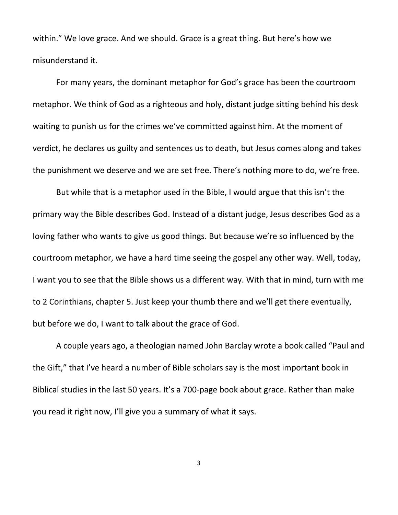within." We love grace. And we should. Grace is a great thing. But here's how we misunderstand it.

For many years, the dominant metaphor for God's grace has been the courtroom metaphor. We think of God as a righteous and holy, distant judge sitting behind his desk waiting to punish us for the crimes we've committed against him. At the moment of verdict, he declares us guilty and sentences us to death, but Jesus comes along and takes the punishment we deserve and we are set free. There's nothing more to do, we're free.

But while that is a metaphor used in the Bible, I would argue that this isn't the primary way the Bible describes God. Instead of a distant judge, Jesus describes God as a loving father who wants to give us good things. But because we're so influenced by the courtroom metaphor, we have a hard time seeing the gospel any other way. Well, today, I want you to see that the Bible shows us a different way. With that in mind, turn with me to 2 Corinthians, chapter 5. Just keep your thumb there and we'll get there eventually, but before we do, I want to talk about the grace of God.

A couple years ago, a theologian named John Barclay wrote a book called "Paul and the Gift," that I've heard a number of Bible scholars say is the most important book in Biblical studies in the last 50 years. It's a 700-page book about grace. Rather than make you read it right now, I'll give you a summary of what it says.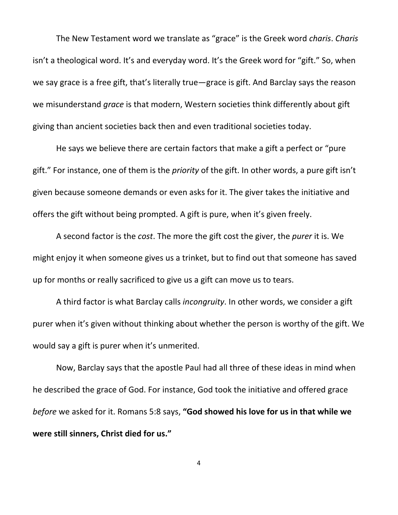The New Testament word we translate as "grace" is the Greek word *charis*. *Charis* isn't a theological word. It's and everyday word. It's the Greek word for "gift." So, when we say grace is a free gift, that's literally true—grace is gift. And Barclay says the reason we misunderstand *grace* is that modern, Western societies think differently about gift giving than ancient societies back then and even traditional societies today.

He says we believe there are certain factors that make a gift a perfect or "pure gift." For instance, one of them is the *priority* of the gift. In other words, a pure gift isn't given because someone demands or even asks for it. The giver takes the initiative and offers the gift without being prompted. A gift is pure, when it's given freely.

A second factor is the *cost*. The more the gift cost the giver, the *purer* it is. We might enjoy it when someone gives us a trinket, but to find out that someone has saved up for months or really sacrificed to give us a gift can move us to tears.

A third factor is what Barclay calls *incongruity*. In other words, we consider a gift purer when it's given without thinking about whether the person is worthy of the gift. We would say a gift is purer when it's unmerited.

Now, Barclay says that the apostle Paul had all three of these ideas in mind when he described the grace of God. For instance, God took the initiative and offered grace *before* we asked for it. Romans 5:8 says, **"God showed his love for us in that while we were still sinners, Christ died for us."**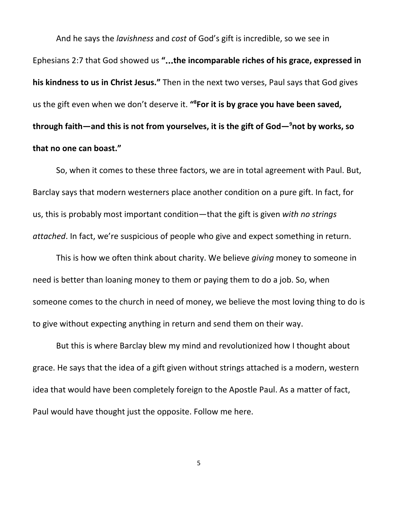And he says the *lavishness* and *cost* of God's gift is incredible, so we see in Ephesians 2:7 that God showed us **"**…**the incomparable riches of his grace, expressed in his kindness to us in Christ Jesus."** Then in the next two verses, Paul says that God gives us the gift even when we don't deserve it. **" <sup>8</sup>For it is by grace you have been saved, through faith—and this is not from yourselves, it is the gift of God— <sup>9</sup>not by works, so that no one can boast."**

So, when it comes to these three factors, we are in total agreement with Paul. But, Barclay says that modern westerners place another condition on a pure gift. In fact, for us, this is probably most important condition—that the gift is given *with no strings attached*. In fact, we're suspicious of people who give and expect something in return.

This is how we often think about charity. We believe *giving* money to someone in need is better than loaning money to them or paying them to do a job. So, when someone comes to the church in need of money, we believe the most loving thing to do is to give without expecting anything in return and send them on their way.

But this is where Barclay blew my mind and revolutionized how I thought about grace. He says that the idea of a gift given without strings attached is a modern, western idea that would have been completely foreign to the Apostle Paul. As a matter of fact, Paul would have thought just the opposite. Follow me here.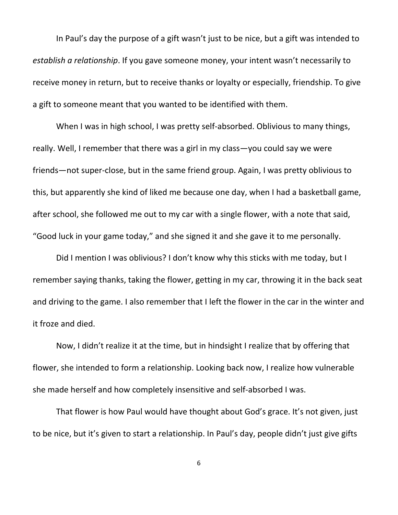In Paul's day the purpose of a gift wasn't just to be nice, but a gift was intended to *establish a relationship*. If you gave someone money, your intent wasn't necessarily to receive money in return, but to receive thanks or loyalty or especially, friendship. To give a gift to someone meant that you wanted to be identified with them.

When I was in high school, I was pretty self-absorbed. Oblivious to many things, really. Well, I remember that there was a girl in my class—you could say we were friends—not super-close, but in the same friend group. Again, I was pretty oblivious to this, but apparently she kind of liked me because one day, when I had a basketball game, after school, she followed me out to my car with a single flower, with a note that said, "Good luck in your game today," and she signed it and she gave it to me personally.

Did I mention I was oblivious? I don't know why this sticks with me today, but I remember saying thanks, taking the flower, getting in my car, throwing it in the back seat and driving to the game. I also remember that I left the flower in the car in the winter and it froze and died.

Now, I didn't realize it at the time, but in hindsight I realize that by offering that flower, she intended to form a relationship. Looking back now, I realize how vulnerable she made herself and how completely insensitive and self-absorbed I was.

That flower is how Paul would have thought about God's grace. It's not given, just to be nice, but it's given to start a relationship. In Paul's day, people didn't just give gifts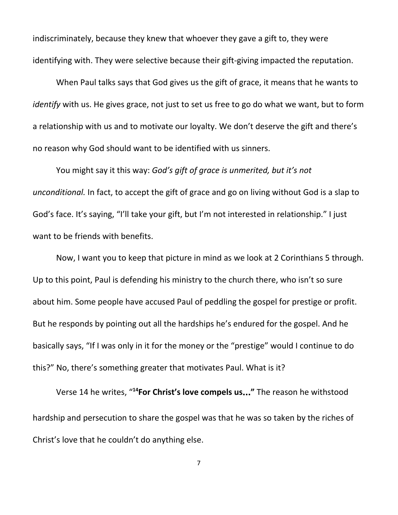indiscriminately, because they knew that whoever they gave a gift to, they were identifying with. They were selective because their gift-giving impacted the reputation.

When Paul talks says that God gives us the gift of grace, it means that he wants to *identify* with us. He gives grace, not just to set us free to go do what we want, but to form a relationship with us and to motivate our loyalty. We don't deserve the gift and there's no reason why God should want to be identified with us sinners.

You might say it this way: *God's gift of grace is unmerited, but it's not unconditional.* In fact, to accept the gift of grace and go on living without God is a slap to God's face. It's saying, "I'll take your gift, but I'm not interested in relationship." I just want to be friends with benefits.

Now, I want you to keep that picture in mind as we look at 2 Corinthians 5 through. Up to this point, Paul is defending his ministry to the church there, who isn't so sure about him. Some people have accused Paul of peddling the gospel for prestige or profit. But he responds by pointing out all the hardships he's endured for the gospel. And he basically says, "If I was only in it for the money or the "prestige" would I continue to do this?" No, there's something greater that motivates Paul. What is it?

Verse 14 he writes, " **<sup>14</sup>For Christ's love compels us**…**"** The reason he withstood hardship and persecution to share the gospel was that he was so taken by the riches of Christ's love that he couldn't do anything else.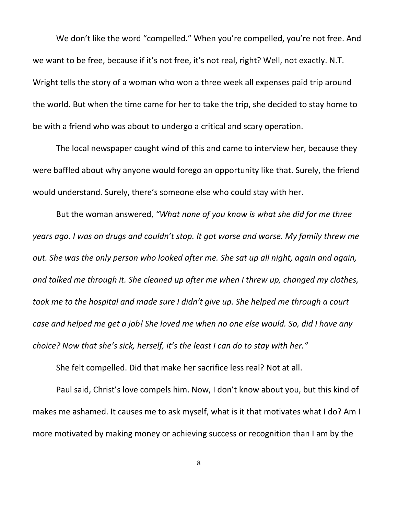We don't like the word "compelled." When you're compelled, you're not free. And we want to be free, because if it's not free, it's not real, right? Well, not exactly. N.T. Wright tells the story of a woman who won a three week all expenses paid trip around the world. But when the time came for her to take the trip, she decided to stay home to be with a friend who was about to undergo a critical and scary operation.

The local newspaper caught wind of this and came to interview her, because they were baffled about why anyone would forego an opportunity like that. Surely, the friend would understand. Surely, there's someone else who could stay with her.

But the woman answered, *"What none of you know is what she did for me three years ago. I was on drugs and couldn't stop. It got worse and worse. My family threw me out. She was the only person who looked after me. She sat up all night, again and again, and talked me through it. She cleaned up after me when I threw up, changed my clothes, took me to the hospital and made sure I didn't give up. She helped me through a court* case and helped me get a job! She loved me when no one else would. So, did I have any *choice? Now that she's sick, herself, it's the least I can do to stay with her."*

She felt compelled. Did that make her sacrifice less real? Not at all.

Paul said, Christ's love compels him. Now, I don't know about you, but this kind of makes me ashamed. It causes me to ask myself, what is it that motivates what I do? Am I more motivated by making money or achieving success or recognition than I am by the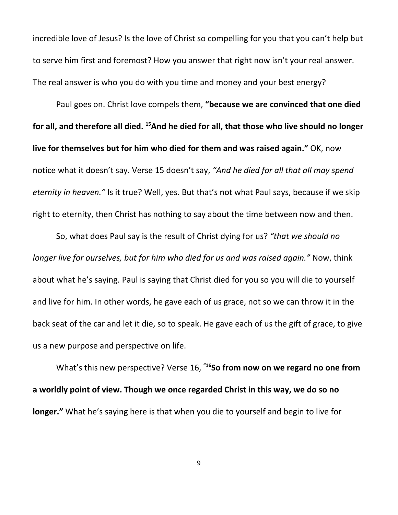incredible love of Jesus? Is the love of Christ so compelling for you that you can't help but to serve him first and foremost? How you answer that right now isn't your real answer. The real answer is who you do with you time and money and your best energy?

Paul goes on. Christ love compels them, **"because we are convinced that one died** for all, and therefore all died. <sup>15</sup>And he died for all, that those who live should no longer **live for themselves but for him who died for them and was raised again."** OK, now notice what it doesn't say. Verse 15 doesn't say, *"And he died for all that all may spend eternity in heaven."* Is it true? Well, yes. But that's not what Paul says, because if we skip right to eternity, then Christ has nothing to say about the time between now and then.

So, what does Paul say is the result of Christ dying for us? *"that we should no longer live for ourselves, but for him who died for us and was raised again."* Now, think about what he's saying. Paul is saying that Christ died for you so you will die to yourself and live for him. In other words, he gave each of us grace, not so we can throw it in the back seat of the car and let it die, so to speak. He gave each of us the gift of grace, to give us a new purpose and perspective on life.

What's this new perspective? Verse 16, **"16So from now on we regard no one from a worldly point of view. Though we once regarded Christ in this way, we do so no longer."** What he's saying here is that when you die to yourself and begin to live for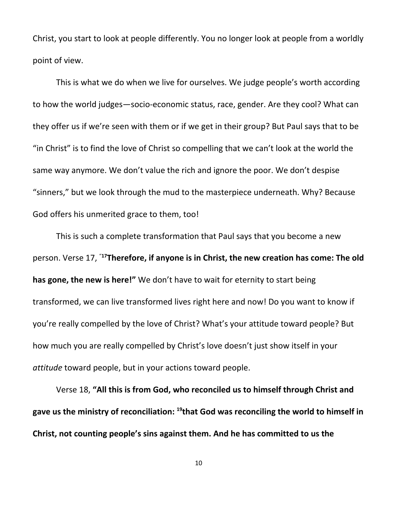Christ, you start to look at people differently. You no longer look at people from a worldly point of view.

This is what we do when we live for ourselves. We judge people's worth according to how the world judges—socio-economic status, race, gender. Are they cool? What can they offer us if we're seen with them or if we get in their group? But Paul says that to be "in Christ" is to find the love of Christ so compelling that we can't look at the world the same way anymore. We don't value the rich and ignore the poor. We don't despise "sinners," but we look through the mud to the masterpiece underneath. Why? Because God offers his unmerited grace to them, too!

This is such a complete transformation that Paul says that you become a new person. Verse 17, "**17Therefore, if anyone is in Christ, the new creation has come: The old has gone, the new is here!"** We don't have to wait for eternity to start being transformed, we can live transformed lives right here and now! Do you want to know if you're really compelled by the love of Christ? What's your attitude toward people? But how much you are really compelled by Christ's love doesn't just show itself in your *attitude* toward people, but in your actions toward people.

Verse 18, **"All this is from God, who reconciled us to himself through Christ and gave us the ministry of reconciliation: 19 that God was reconciling the world to himself in Christ, not counting people's sins against them. And he has committed to us the**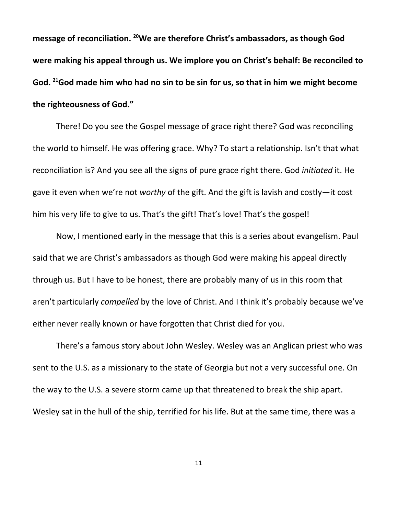**message of reconciliation. <sup>20</sup>We are therefore Christ's ambassadors, as though God were making his appeal through us. We implore you on Christ's behalf: Be reconciled to** God. <sup>21</sup>God made him who had no sin to be sin for us, so that in him we might become **the righteousness of God."**

There! Do you see the Gospel message of grace right there? God was reconciling the world to himself. He was offering grace. Why? To start a relationship. Isn't that what reconciliation is? And you see all the signs of pure grace right there. God *initiated* it. He gave it even when we're not *worthy* of the gift. And the gift is lavish and costly—it cost him his very life to give to us. That's the gift! That's love! That's the gospel!

Now, I mentioned early in the message that this is a series about evangelism. Paul said that we are Christ's ambassadors as though God were making his appeal directly through us. But I have to be honest, there are probably many of us in this room that aren't particularly *compelled* by the love of Christ. And I think it's probably because we've either never really known or have forgotten that Christ died for you.

There's a famous story about John Wesley. Wesley was an Anglican priest who was sent to the U.S. as a missionary to the state of Georgia but not a very successful one. On the way to the U.S. a severe storm came up that threatened to break the ship apart. Wesley sat in the hull of the ship, terrified for his life. But at the same time, there was a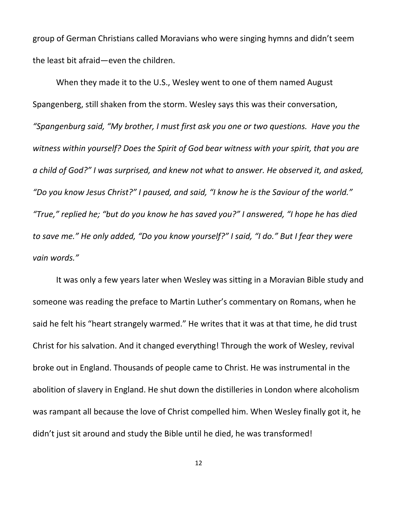group of German Christians called Moravians who were singing hymns and didn't seem the least bit afraid—even the children.

When they made it to the U.S., Wesley went to one of them named August Spangenberg, still shaken from the storm. Wesley says this was their conversation, *"Spangenburg said, "My brother, I must first ask you one or two questions. Have you the witness within yourself? Does the Spirit of God bear witness with your spirit, that you are a child of God?" I was surprised, and knew not what to answer. He observed it, and asked, "Do you know Jesus Christ?" I paused, and said, "I know he is the Saviour of the world." "True," replied he; "but do you know he has saved you?" I answered, "I hope he has died to save me." He only added, "Do you know yourself?" I said, "I do." But I fear they were vain words."*

It was only a few years later when Wesley was sitting in a Moravian Bible study and someone was reading the preface to Martin Luther's commentary on Romans, when he said he felt his "heart strangely warmed." He writes that it was at that time, he did trust Christ for his salvation. And it changed everything! Through the work of Wesley, revival broke out in England. Thousands of people came to Christ. He was instrumental in the abolition of slavery in England. He shut down the distilleries in London where alcoholism was rampant all because the love of Christ compelled him. When Wesley finally got it, he didn't just sit around and study the Bible until he died, he was transformed!